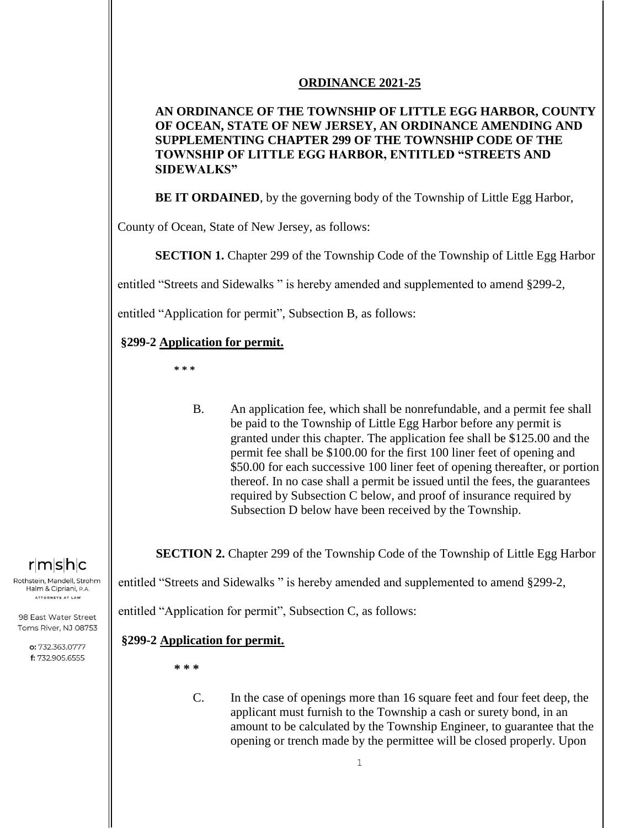#### **ORDINANCE 2021-25**

### **AN ORDINANCE OF THE TOWNSHIP OF LITTLE EGG HARBOR, COUNTY OF OCEAN, STATE OF NEW JERSEY, AN ORDINANCE AMENDING AND SUPPLEMENTING CHAPTER 299 OF THE TOWNSHIP CODE OF THE TOWNSHIP OF LITTLE EGG HARBOR, ENTITLED "STREETS AND SIDEWALKS"**

**BE IT ORDAINED**, by the governing body of the Township of Little Egg Harbor,

County of Ocean, State of New Jersey, as follows:

**SECTION 1.** Chapter 299 of the Township Code of the Township of Little Egg Harbor

entitled "Streets and Sidewalks " is hereby amended and supplemented to amend §299-2,

entitled "Application for permit", Subsection B, as follows:

### **§299-2 Application for permit.**

**\* \* \***

B. An application fee, which shall be nonrefundable, and a permit fee shall be paid to the Township of Little Egg Harbor before any permit is granted under this chapter. The application fee shall be \$125.00 and the permit fee shall be \$100.00 for the first 100 liner feet of opening and \$50.00 for each successive 100 liner feet of opening thereafter, or portion thereof. In no case shall a permit be issued until the fees, the guarantees required by Subsection C below, and proof of insurance required by Subsection D below have been received by the Township.

**SECTION 2.** Chapter 299 of the Township Code of the Township of Little Egg Harbor

entitled "Streets and Sidewalks " is hereby amended and supplemented to amend §299-2,

entitled "Application for permit", Subsection C, as follows:

### **§299-2 Application for permit.**

**\* \* \***

C. In the case of openings more than 16 square feet and four feet deep, the applicant must furnish to the Township a cash or surety bond, in an amount to be calculated by the Township Engineer, to guarantee that the opening or trench made by the permittee will be closed properly. Upon

 $r|m|s|h|c$ 

Rothstein, Mandell, Strohm, Halm & Cipriani, P.A. ATTORNEYS AT LAW

98 East Water Street Toms River, NJ 08753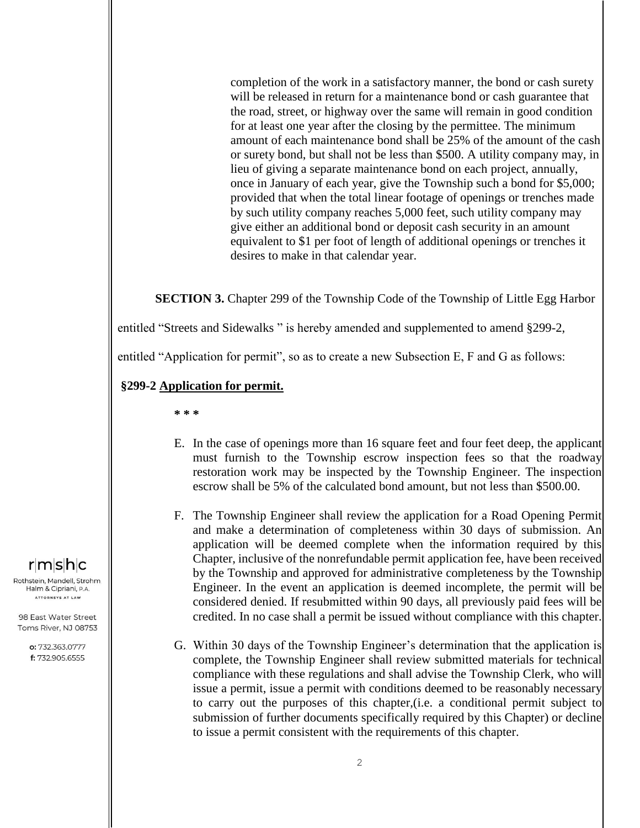completion of the work in a satisfactory manner, the bond or cash surety will be released in return for a maintenance bond or cash guarantee that the road, street, or highway over the same will remain in good condition for at least one year after the closing by the permittee. The minimum amount of each maintenance bond shall be 25% of the amount of the cash or surety bond, but shall not be less than \$500. A utility company may, in lieu of giving a separate maintenance bond on each project, annually, once in January of each year, give the Township such a bond for \$5,000; provided that when the total linear footage of openings or trenches made by such utility company reaches 5,000 feet, such utility company may give either an additional bond or deposit cash security in an amount equivalent to \$1 per foot of length of additional openings or trenches it desires to make in that calendar year.

**SECTION 3.** Chapter 299 of the Township Code of the Township of Little Egg Harbor

entitled "Streets and Sidewalks " is hereby amended and supplemented to amend §299-2,

entitled "Application for permit", so as to create a new Subsection E, F and G as follows:

#### **§299-2 Application for permit.**

**\* \* \***

- E. In the case of openings more than 16 square feet and four feet deep, the applicant must furnish to the Township escrow inspection fees so that the roadway restoration work may be inspected by the Township Engineer. The inspection escrow shall be 5% of the calculated bond amount, but not less than \$500.00.
- F. The Township Engineer shall review the application for a Road Opening Permit and make a determination of completeness within 30 days of submission. An application will be deemed complete when the information required by this Chapter, inclusive of the nonrefundable permit application fee, have been received by the Township and approved for administrative completeness by the Township Engineer. In the event an application is deemed incomplete, the permit will be considered denied. If resubmitted within 90 days, all previously paid fees will be credited. In no case shall a permit be issued without compliance with this chapter.
- G. Within 30 days of the Township Engineer's determination that the application is complete, the Township Engineer shall review submitted materials for technical compliance with these regulations and shall advise the Township Clerk, who will issue a permit, issue a permit with conditions deemed to be reasonably necessary to carry out the purposes of this chapter,(i.e. a conditional permit subject to submission of further documents specifically required by this Chapter) or decline to issue a permit consistent with the requirements of this chapter.

# $r$ m $|s|$ h $|c|$

Rothstein, Mandell, Strohm, Halm & Cipriani, P.A. ATTORNEYS AT LAW

98 East Water Street Toms River, NJ 08753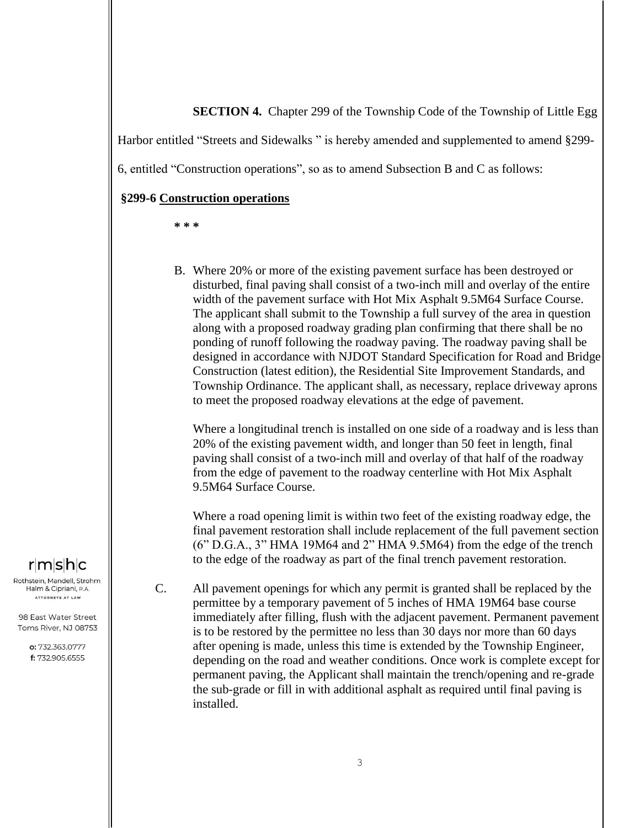#### **SECTION 4.** Chapter 299 of the Township Code of the Township of Little Egg

Harbor entitled "Streets and Sidewalks " is hereby amended and supplemented to amend §299-

6, entitled "Construction operations", so as to amend Subsection B and C as follows:

#### **§299-6 Construction operations**

**\* \* \***

B. Where 20% or more of the existing pavement surface has been destroyed or disturbed, final paving shall consist of a two-inch mill and overlay of the entire width of the pavement surface with Hot Mix Asphalt 9.5M64 Surface Course. The applicant shall submit to the Township a full survey of the area in question along with a proposed roadway grading plan confirming that there shall be no ponding of runoff following the roadway paving. The roadway paving shall be designed in accordance with NJDOT Standard Specification for Road and Bridge Construction (latest edition), the Residential Site Improvement Standards, and Township Ordinance. The applicant shall, as necessary, replace driveway aprons to meet the proposed roadway elevations at the edge of pavement.

Where a longitudinal trench is installed on one side of a roadway and is less than 20% of the existing pavement width, and longer than 50 feet in length, final paving shall consist of a two-inch mill and overlay of that half of the roadway from the edge of pavement to the roadway centerline with Hot Mix Asphalt 9.5M64 Surface Course.

Where a road opening limit is within two feet of the existing roadway edge, the final pavement restoration shall include replacement of the full pavement section (6" D.G.A., 3" HMA 19M64 and 2" HMA 9.5M64) from the edge of the trench to the edge of the roadway as part of the final trench pavement restoration.

 $r|m|s|h|c$ 

Rothstein, Mandell, Strohm, Halm & Cipriani, P.A. ATTORNEYS AT LAW

98 East Water Street Toms River, NJ 08753

> o: 732.363.0777 f: 732.905.6555

C. All pavement openings for which any permit is granted shall be replaced by the permittee by a temporary pavement of 5 inches of HMA 19M64 base course immediately after filling, flush with the adjacent pavement. Permanent pavement is to be restored by the permittee no less than 30 days nor more than 60 days after opening is made, unless this time is extended by the Township Engineer, depending on the road and weather conditions. Once work is complete except for permanent paving, the Applicant shall maintain the trench/opening and re-grade the sub-grade or fill in with additional asphalt as required until final paving is installed.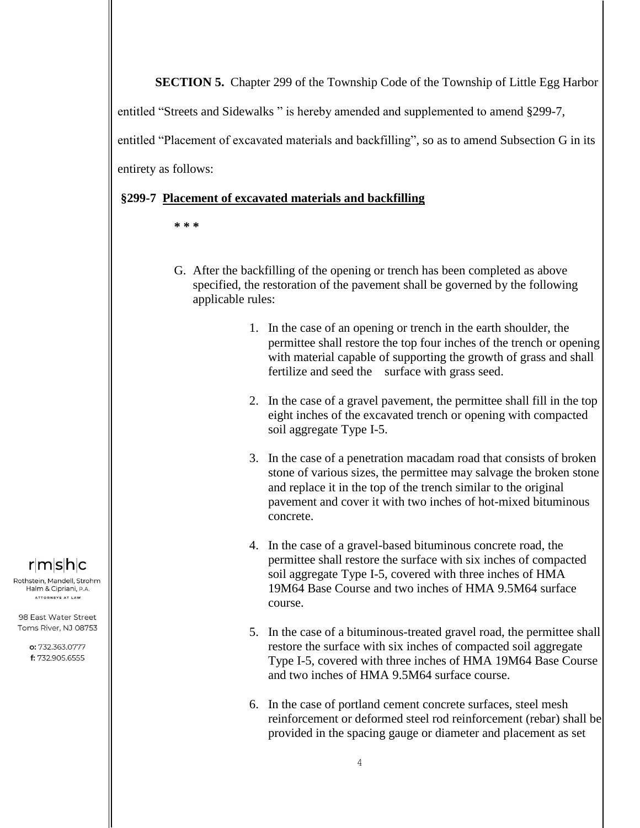**SECTION 5.** Chapter 299 of the Township Code of the Township of Little Egg Harbor

entitled "Streets and Sidewalks " is hereby amended and supplemented to amend §299-7,

entitled "Placement of excavated materials and backfilling", so as to amend Subsection G in its

entirety as follows:

#### **§299-7 Placement of excavated materials and backfilling**

- **\* \* \***
- G. After the backfilling of the opening or trench has been completed as above specified, the restoration of the pavement shall be governed by the following applicable rules:
	- 1. In the case of an opening or trench in the earth shoulder, the permittee shall restore the top four inches of the trench or opening with material capable of supporting the growth of grass and shall fertilize and seed the surface with grass seed.
	- 2. In the case of a gravel pavement, the permittee shall fill in the top eight inches of the excavated trench or opening with compacted soil aggregate Type I-5.
	- 3. In the case of a penetration macadam road that consists of broken stone of various sizes, the permittee may salvage the broken stone and replace it in the top of the trench similar to the original pavement and cover it with two inches of hot-mixed bituminous concrete.
	- 4. In the case of a gravel-based bituminous concrete road, the permittee shall restore the surface with six inches of compacted soil aggregate Type I-5, covered with three inches of HMA 19M64 Base Course and two inches of HMA 9.5M64 surface course.
	- 5. In the case of a bituminous-treated gravel road, the permittee shall restore the surface with six inches of compacted soil aggregate Type I-5, covered with three inches of HMA 19M64 Base Course and two inches of HMA 9.5M64 surface course.
	- 6. In the case of portland cement concrete surfaces, steel mesh reinforcement or deformed steel rod reinforcement (rebar) shall be provided in the spacing gauge or diameter and placement as set

# $r$ m $s$ h $c$

Rothstein, Mandell, Strohm, Halm & Cipriani, P.A. ATTORNEYS AT LAW

98 East Water Street Toms River, NJ 08753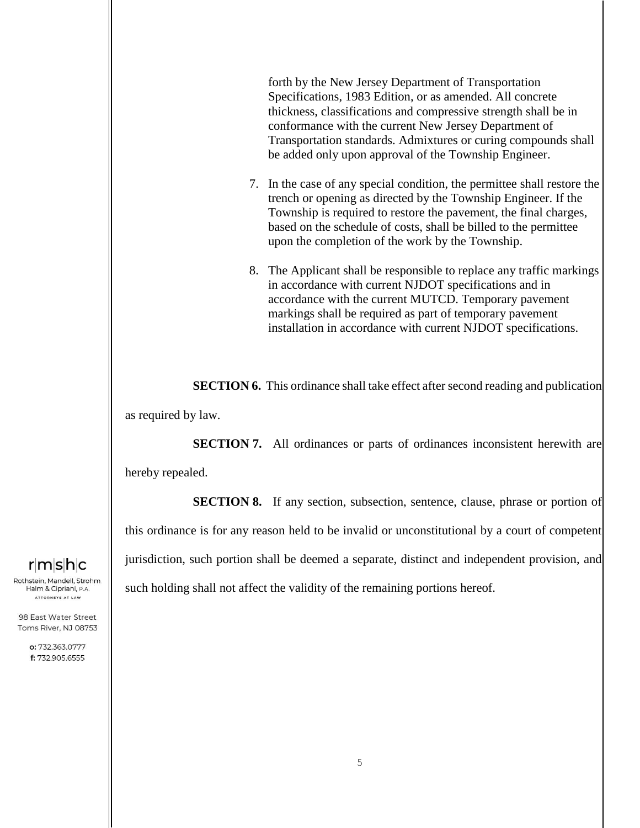forth by the New Jersey Department of Transportation Specifications, 1983 Edition, or as amended. All concrete thickness, classifications and compressive strength shall be in conformance with the current New Jersey Department of Transportation standards. Admixtures or curing compounds shall be added only upon approval of the Township Engineer.

- 7. In the case of any special condition, the permittee shall restore the trench or opening as directed by the Township Engineer. If the Township is required to restore the pavement, the final charges, based on the schedule of costs, shall be billed to the permittee upon the completion of the work by the Township.
- 8. The Applicant shall be responsible to replace any traffic markings in accordance with current NJDOT specifications and in accordance with the current MUTCD. Temporary pavement markings shall be required as part of temporary pavement installation in accordance with current NJDOT specifications.

**SECTION 6.** This ordinance shall take effect after second reading and publication as required by law.

**SECTION 7.** All ordinances or parts of ordinances inconsistent herewith are

hereby repealed.

**SECTION 8.** If any section, subsection, sentence, clause, phrase or portion of this ordinance is for any reason held to be invalid or unconstitutional by a court of competent jurisdiction, such portion shall be deemed a separate, distinct and independent provision, and such holding shall not affect the validity of the remaining portions hereof.

# $r$ m $s$ h $c$

Rothstein, Mandell, Strohm, Halm & Cipriani, P.A. ATTORNEYS AT LAW

98 East Water Street Toms River, NJ 08753